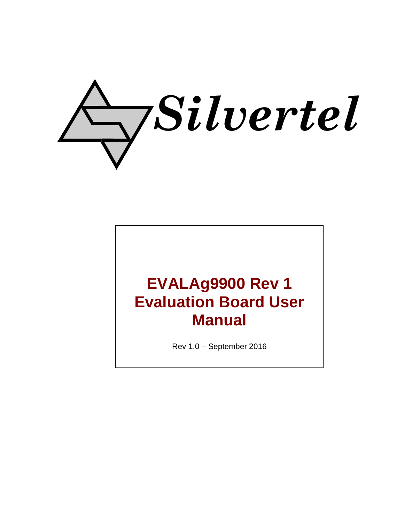

# **EVALAg9900 Rev 1 Evaluation Board User Manual**

Rev 1.0 – September 2016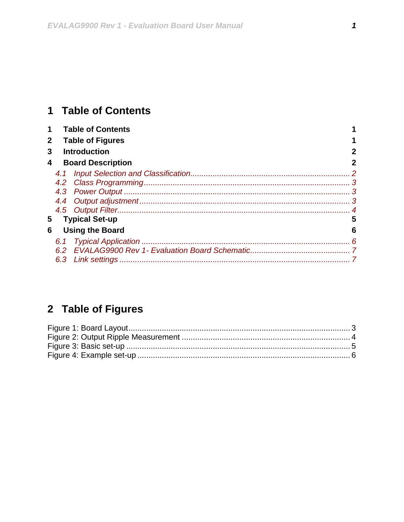## <span id="page-1-0"></span>1 Table of Contents

| $\mathbf 1$  |     | <b>Table of Contents</b> |   |
|--------------|-----|--------------------------|---|
| $\mathbf{2}$ |     | <b>Table of Figures</b>  |   |
| 3            |     | <b>Introduction</b>      | 2 |
| 4            |     | <b>Board Description</b> | 2 |
|              | 4.1 |                          |   |
|              |     |                          |   |
|              |     |                          |   |
|              |     |                          |   |
|              |     |                          |   |
| 5            |     | <b>Typical Set-up</b>    | 5 |
| 6            |     | <b>Using the Board</b>   | 6 |
|              | 6.1 |                          |   |
|              |     |                          |   |
|              | 6.3 |                          |   |

## <span id="page-1-1"></span>2 Table of Figures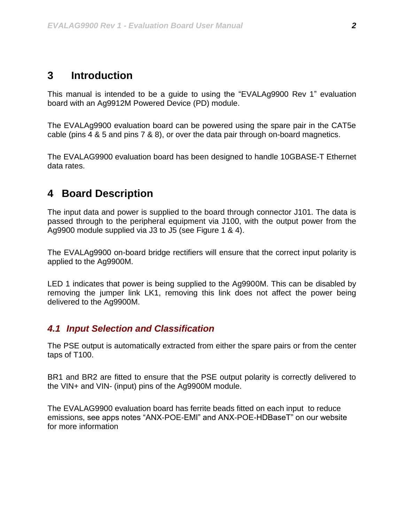#### <span id="page-2-0"></span>**3 Introduction**

This manual is intended to be a guide to using the "EVALAg9900 Rev 1" evaluation board with an Ag9912M Powered Device (PD) module.

The EVALAg9900 evaluation board can be powered using the spare pair in the CAT5e cable (pins 4 & 5 and pins 7 & 8), or over the data pair through on-board magnetics.

The EVALAG9900 evaluation board has been designed to handle 10GBASE-T Ethernet data rates.

## <span id="page-2-1"></span>**4 Board Description**

The input data and power is supplied to the board through connector J101. The data is passed through to the peripheral equipment via J100, with the output power from the Ag9900 module supplied via J3 to J5 (see Figure 1 & 4).

The EVALAg9900 on-board bridge rectifiers will ensure that the correct input polarity is applied to the Ag9900M.

LED 1 indicates that power is being supplied to the Ag9900M. This can be disabled by removing the jumper link LK1, removing this link does not affect the power being delivered to the Ag9900M.

#### <span id="page-2-2"></span>*4.1 Input Selection and Classification*

The PSE output is automatically extracted from either the spare pairs or from the center taps of T100.

BR1 and BR2 are fitted to ensure that the PSE output polarity is correctly delivered to the VIN+ and VIN- (input) pins of the Ag9900M module.

The EVALAG9900 evaluation board has ferrite beads fitted on each input to reduce emissions, see apps notes "ANX-POE-EMI" and ANX-POE-HDBaseT" on our website for more information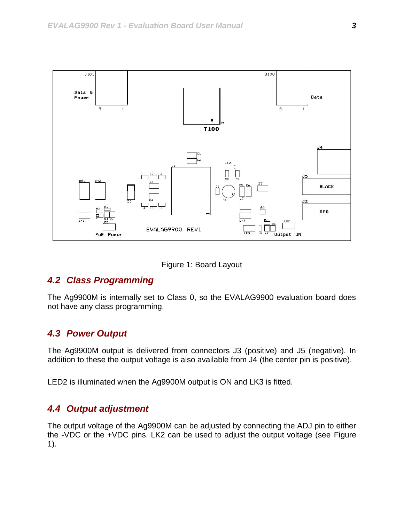

Figure 1: Board Layout

#### <span id="page-3-3"></span><span id="page-3-0"></span>*4.2 Class Programming*

The Ag9900M is internally set to Class 0, so the EVALAG9900 evaluation board does not have any class programming.

#### <span id="page-3-1"></span>*4.3 Power Output*

The Ag9900M output is delivered from connectors J3 (positive) and J5 (negative). In addition to these the output voltage is also available from J4 (the center pin is positive).

LED2 is illuminated when the Ag9900M output is ON and LK3 is fitted.

#### <span id="page-3-2"></span>*4.4 Output adjustment*

The output voltage of the Ag9900M can be adjusted by connecting the ADJ pin to either the -VDC or the +VDC pins. LK2 can be used to adjust the output voltage (see [Figure](#page-3-3)  [1\)](#page-3-3).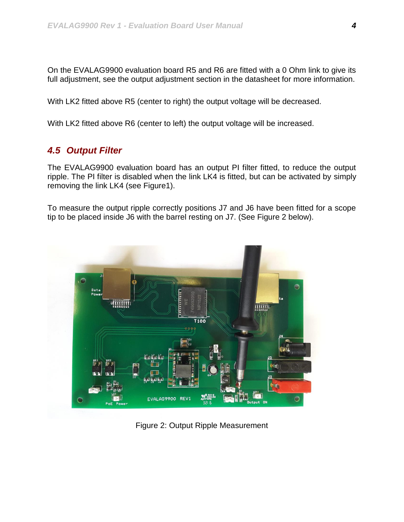On the EVALAG9900 evaluation board R5 and R6 are fitted with a 0 Ohm link to give its full adjustment, see the output adjustment section in the datasheet for more information.

With LK2 fitted above R5 (center to right) the output voltage will be decreased.

With LK2 fitted above R6 (center to left) the output voltage will be increased.

#### <span id="page-4-0"></span>*4.5 Output Filter*

The EVALAG9900 evaluation board has an output PI filter fitted, to reduce the output ripple. The PI filter is disabled when the link LK4 is fitted, but can be activated by simply removing the link LK4 (see Figure1).

To measure the output ripple correctly positions J7 and J6 have been fitted for a scope tip to be placed inside J6 with the barrel resting on J7. (See Figure 2 below).



<span id="page-4-1"></span>Figure 2: Output Ripple Measurement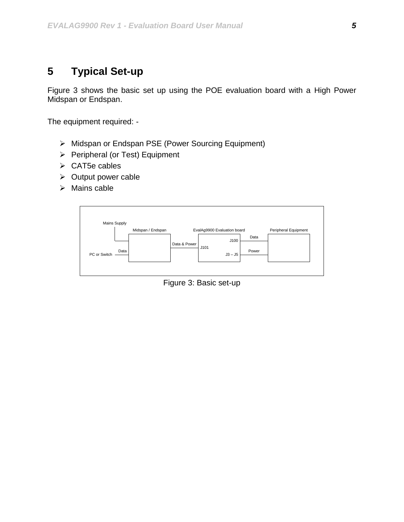## <span id="page-5-0"></span>**5 Typical Set-up**

Figure 3 shows the basic set up using the POE evaluation board with a High Power Midspan or Endspan.

The equipment required: -

- > Midspan or Endspan PSE (Power Sourcing Equipment)
- $\triangleright$  Peripheral (or Test) Equipment
- $\triangleright$  CAT5e cables
- $\triangleright$  Output power cable
- $\triangleright$  Mains cable

<span id="page-5-1"></span>

Figure 3: Basic set-up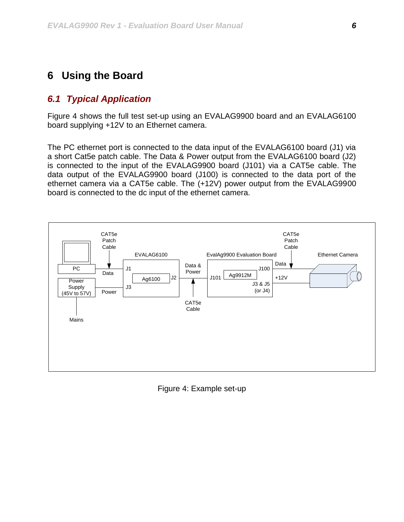#### <span id="page-6-0"></span>**6 Using the Board**

#### <span id="page-6-1"></span>*6.1 Typical Application*

Figure 4 shows the full test set-up using an EVALAG9900 board and an EVALAG6100 board supplying +12V to an Ethernet camera.

The PC ethernet port is connected to the data input of the EVALAG6100 board (J1) via a short Cat5e patch cable. The Data & Power output from the EVALAG6100 board (J2) is connected to the input of the EVALAG9900 board (J101) via a CAT5e cable. The data output of the EVALAG9900 board (J100) is connected to the data port of the ethernet camera via a CAT5e cable. The (+12V) power output from the EVALAG9900 board is connected to the dc input of the ethernet camera.



<span id="page-6-2"></span>Figure 4: Example set-up